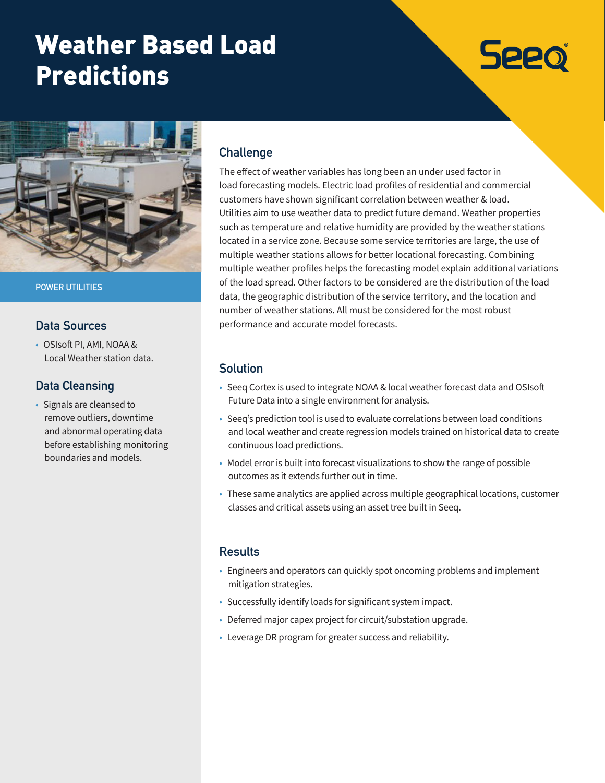## Weather Based Load Predictions

# **Seeo**



**POWER UTILITIES**

#### **Data Sources**

• OSIsoft PI, AMI, NOAA & Local Weather station data.

### **Data Cleansing**

• Signals are cleansed to remove outliers, downtime and abnormal operating data before establishing monitoring boundaries and models.

### **Challenge**

The effect of weather variables has long been an under used factor in load forecasting models. Electric load profiles of residential and commercial customers have shown significant correlation between weather & load. Utilities aim to use weather data to predict future demand. Weather properties such as temperature and relative humidity are provided by the weather stations located in a service zone. Because some service territories are large, the use of multiple weather stations allows for better locational forecasting. Combining multiple weather profiles helps the forecasting model explain additional variations of the load spread. Other factors to be considered are the distribution of the load data, the geographic distribution of the service territory, and the location and number of weather stations. All must be considered for the most robust performance and accurate model forecasts.

#### **Solution**

- Seeq Cortex is used to integrate NOAA & local weather forecast data and OSIsoft Future Data into a single environment for analysis.
- Seeq's prediction tool is used to evaluate correlations between load conditions and local weather and create regression models trained on historical data to create continuous load predictions.
- Model error is built into forecast visualizations to show the range of possible outcomes as it extends further out in time.
- These same analytics are applied across multiple geographical locations, customer classes and critical assets using an asset tree built in Seeq.

#### **Results**

- Engineers and operators can quickly spot oncoming problems and implement mitigation strategies.
- Successfully identify loads for significant system impact.
- Deferred major capex project for circuit/substation upgrade.
- Leverage DR program for greater success and reliability.